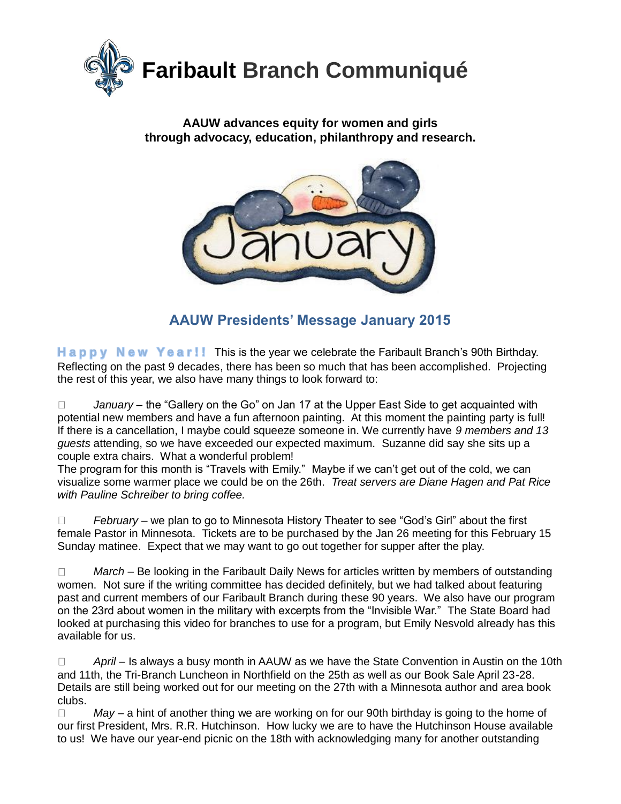

#### **AAUW advances equity for women and girls through advocacy, education, philanthropy and research.**



**AAUW Presidents' Message January 2015**

**H a p p y N e w Y e a r ! !** This is the year we celebrate the Faribault Branch's 90th Birthday. Reflecting on the past 9 decades, there has been so much that has been accomplished. Projecting the rest of this year, we also have many things to look forward to:

*January* – the "Gallery on the Go" on Jan 17 at the Upper East Side to get acquainted with  $\Box$ potential new members and have a fun afternoon painting. At this moment the painting party is full! If there is a cancellation, I maybe could squeeze someone in. We currently have *9 members and 13 guests* attending, so we have exceeded our expected maximum. Suzanne did say she sits up a couple extra chairs. What a wonderful problem!

The program for this month is "Travels with Emily." Maybe if we can't get out of the cold, we can visualize some warmer place we could be on the 26th. *Treat servers are Diane Hagen and Pat Rice with Pauline Schreiber to bring coffee.*

 $\Box$ *February* – we plan to go to Minnesota History Theater to see "God's Girl" about the first female Pastor in Minnesota. Tickets are to be purchased by the Jan 26 meeting for this February 15 Sunday matinee. Expect that we may want to go out together for supper after the play.

 $\Box$ *March* – Be looking in the Faribault Daily News for articles written by members of outstanding women. Not sure if the writing committee has decided definitely, but we had talked about featuring past and current members of our Faribault Branch during these 90 years. We also have our program on the 23rd about women in the military with excerpts from the "Invisible War." The State Board had looked at purchasing this video for branches to use for a program, but Emily Nesvold already has this available for us.

*April* – Is always a busy month in AAUW as we have the State Convention in Austin on the 10th  $\Box$ and 11th, the Tri-Branch Luncheon in Northfield on the 25th as well as our Book Sale April 23-28. Details are still being worked out for our meeting on the 27th with a Minnesota author and area book clubs.

 $\Box$ *May* – a hint of another thing we are working on for our 90th birthday is going to the home of our first President, Mrs. R.R. Hutchinson. How lucky we are to have the Hutchinson House available to us! We have our year-end picnic on the 18th with acknowledging many for another outstanding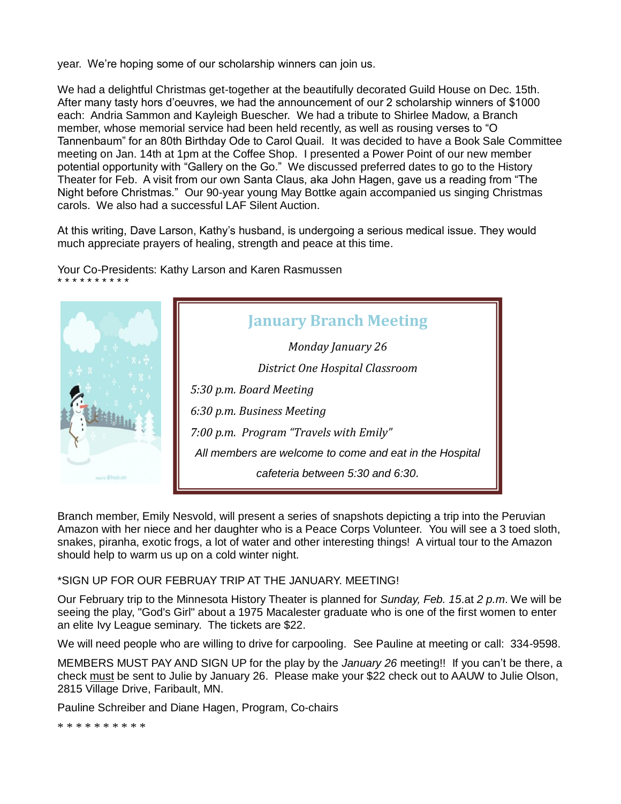year. We're hoping some of our scholarship winners can join us.

We had a delightful Christmas get-together at the beautifully decorated Guild House on Dec. 15th. After many tasty hors d'oeuvres, we had the announcement of our 2 scholarship winners of \$1000 each: Andria Sammon and Kayleigh Buescher. We had a tribute to Shirlee Madow, a Branch member, whose memorial service had been held recently, as well as rousing verses to "O Tannenbaum" for an 80th Birthday Ode to Carol Quail. It was decided to have a Book Sale Committee meeting on Jan. 14th at 1pm at the Coffee Shop. I presented a Power Point of our new member potential opportunity with "Gallery on the Go." We discussed preferred dates to go to the History Theater for Feb. A visit from our own Santa Claus, aka John Hagen, gave us a reading from "The Night before Christmas." Our 90-year young May Bottke again accompanied us singing Christmas carols. We also had a successful LAF Silent Auction.

At this writing, Dave Larson, Kathy's husband, is undergoing a serious medical issue. They would much appreciate prayers of healing, strength and peace at this time.

Your Co-Presidents: Kathy Larson and Karen Rasmussen \* \* \* \* \* \* \* \* \* \*



Branch member, Emily Nesvold, will present a series of snapshots depicting a trip into the Peruvian Amazon with her niece and her daughter who is a Peace Corps Volunteer. You will see a 3 toed sloth, snakes, piranha, exotic frogs, a lot of water and other interesting things! A virtual tour to the Amazon should help to warm us up on a cold winter night.

#### \*SIGN UP FOR OUR FEBRUAY TRIP AT THE JANUARY. MEETING!

Our February trip to the Minnesota History Theater is planned for *Sunday, Feb. 15*.at *2 p.m*. We will be seeing the play, "God's Girl" about a 1975 Macalester graduate who is one of the first women to enter an elite Ivy League seminary. The tickets are \$22.

We will need people who are willing to drive for carpooling. See Pauline at meeting or call: 334-9598.

MEMBERS MUST PAY AND SIGN UP for the play by the *January 26* meeting!! If you can't be there, a check must be sent to Julie by January 26. Please make your \$22 check out to AAUW to Julie Olson, 2815 Village Drive, Faribault, MN.

Pauline Schreiber and Diane Hagen, Program, Co-chairs

\* \* \* \* \* \* \* \* \* \*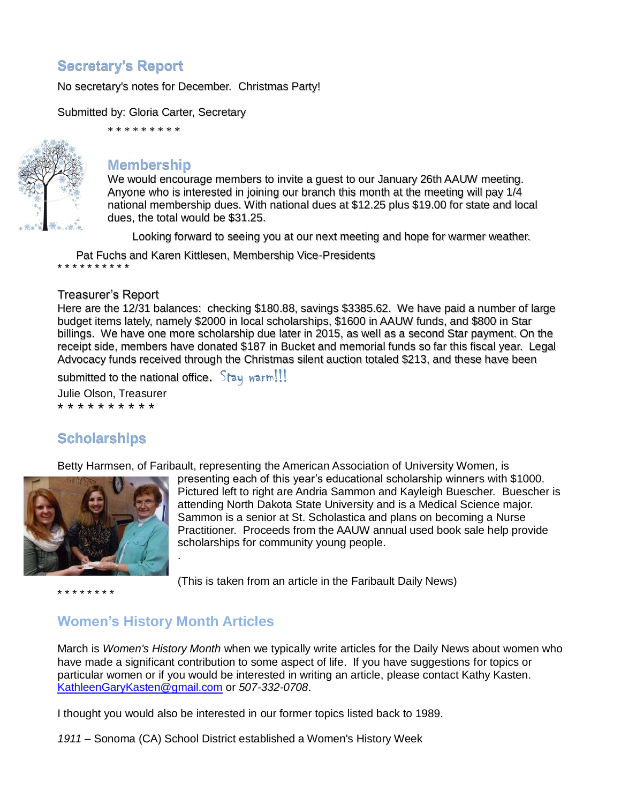# **Secretary's Report**

No secretary's notes for December. Christmas Party!

Submitted by: Gloria Carter, Secretary



# \* \* \* \* \* \* \* \* \* **Membership**

We would encourage members to invite a guest to our January 26th AAUW meeting. Anyone who is interested in joining our branch this month at the meeting will pay 1/4 national membership dues. With national dues at \$12.25 plus \$19.00 for state and local dues, the total would be \$31.25.

Looking forward to seeing you at our next meeting and hope for warmer weather.

Pat Fuchs and Karen Kittlesen, Membership Vice-Presidents

#### Treasurer's Report

\* \* \* \* \* \* \* \* \* \*

Here are the 12/31 balances: checking \$180.88, savings \$3385.62. We have paid a number of large budget items lately, namely \$2000 in local scholarships, \$1600 in AAUW funds, and \$800 in Star billings. We have one more scholarship due later in 2015, as well as a second Star payment. On the receipt side, members have donated \$187 in Bucket and memorial funds so far this fiscal year. Legal Advocacy funds received through the Christmas silent auction totaled \$213, and these have been

submitted to the national office.  $Stay warm!!!$ 

Julie Olson, Treasurer

\* \* \* \* \* \* \* \* \* \*

# **Scholarships**

Betty Harmsen, of Faribault, representing the American Association of University Women, is



presenting each of this year's educational scholarship winners with \$1000. Pictured left to right are Andria Sammon and Kayleigh Buescher. Buescher is attending North Dakota State University and is a Medical Science major. Sammon is a senior at St. Scholastica and plans on becoming a Nurse Practitioner. Proceeds from the AAUW annual used book sale help provide scholarships for community young people.

\* \* \* \* \* \* \* \*

(This is taken from an article in the Faribault Daily News)

## **Women's History Month Articles**

.

March is *Women's History Month* when we typically write articles for the Daily News about women who have made a significant contribution to some aspect of life. If you have suggestions for topics or particular women or if you would be interested in writing an article, please contact Kathy Kasten. [KathleenGaryKasten@gmail.com](mailto:KathleenGaryKasten@gmail.com) or *507-332-0708*.

I thought you would also be interested in our former topics listed back to 1989.

*1911* – Sonoma (CA) School District established a Women's History Week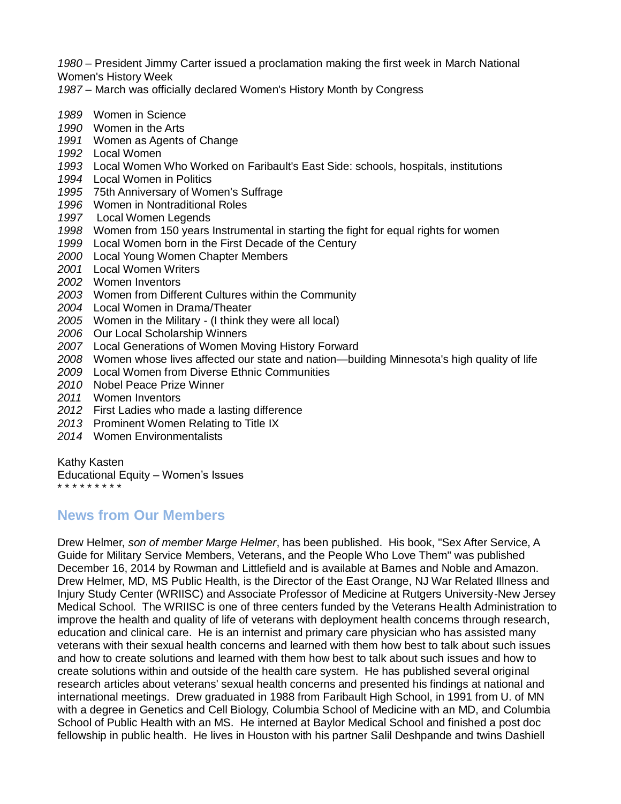*1980* – President Jimmy Carter issued a proclamation making the first week in March National Women's History Week

*1987* – March was officially declared Women's History Month by Congress

- *1989* Women in Science
- *1990* Women in the Arts
- *1991* Women as Agents of Change
- *1992* Local Women
- *1993* Local Women Who Worked on Faribault's East Side: schools, hospitals, institutions
- *1994* Local Women in Politics
- *1995* 75th Anniversary of Women's Suffrage
- *1996* Women in Nontraditional Roles
- *1997* Local Women Legends
- *1998* Women from 150 years Instrumental in starting the fight for equal rights for women
- *1999* Local Women born in the First Decade of the Century
- *2000* Local Young Women Chapter Members
- *2001* Local Women Writers
- *2002* Women Inventors
- *2003* Women from Different Cultures within the Community
- *2004* Local Women in Drama/Theater
- *2005* Women in the Military (I think they were all local)
- *2006* Our Local Scholarship Winners
- *2007* Local Generations of Women Moving History Forward
- *2008* Women whose lives affected our state and nation—building Minnesota's high quality of life
- *2009* Local Women from Diverse Ethnic Communities
- *2010* Nobel Peace Prize Winner
- *2011* Women Inventors
- *2012* First Ladies who made a lasting difference
- *2013* Prominent Women Relating to Title IX
- *2014* Women Environmentalists

Kathy Kasten

Educational Equity – Women's Issues

\* \* \* \* \* \* \* \* \*

## **News from Our Members**

Drew Helmer, *son of member Marge Helmer*, has been published. His book, "Sex After Service, A Guide for Military Service Members, Veterans, and the People Who Love Them" was published December 16, 2014 by Rowman and Littlefield and is available at Barnes and Noble and Amazon. Drew Helmer, MD, MS Public Health, is the Director of the East Orange, NJ War Related Illness and Injury Study Center (WRIISC) and Associate Professor of Medicine at Rutgers University-New Jersey Medical School. The WRIISC is one of three centers funded by the Veterans Health Administration to improve the health and quality of life of veterans with deployment health concerns through research, education and clinical care. He is an internist and primary care physician who has assisted many veterans with their sexual health concerns and learned with them how best to talk about such issues and how to create solutions and learned with them how best to talk about such issues and how to create solutions within and outside of the health care system. He has published several original research articles about veterans' sexual health concerns and presented his findings at national and international meetings. Drew graduated in 1988 from Faribault High School, in 1991 from U. of MN with a degree in Genetics and Cell Biology, Columbia School of Medicine with an MD, and Columbia School of Public Health with an MS. He interned at Baylor Medical School and finished a post doc fellowship in public health. He lives in Houston with his partner Salil Deshpande and twins Dashiell